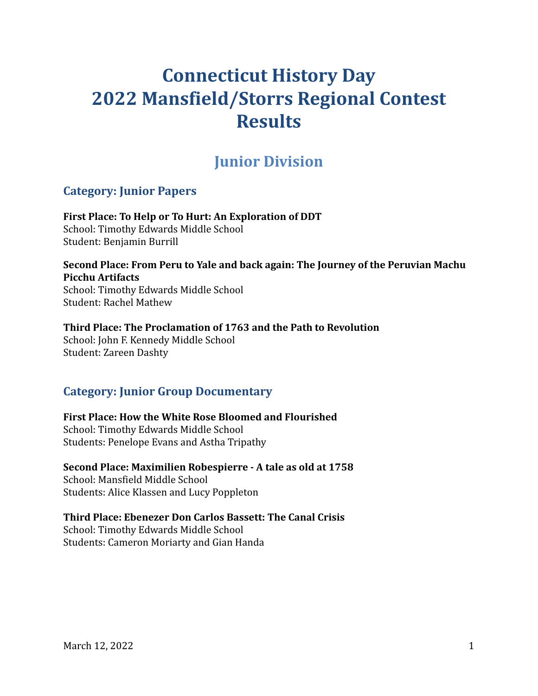# **Connecticut History Day 2022 Mansfield/Storrs Regional Contest Results**

## **Junior Division**

## **Category: Junior Papers**

**First Place: To Help or To Hurt: An Exploration of DDT** School: Timothy Edwards Middle School Student: Benjamin Burrill

**Second Place: From Peru to Yale and back again: The Journey of the Peruvian Machu Picchu Artifacts** School: Timothy Edwards Middle School

Student: Rachel Mathew

### **Third Place: The Proclamation of 1763 and the Path to Revolution**

School: John F. Kennedy Middle School Student: Zareen Dashty

## **Category: Junior Group Documentary**

**First Place: How the White Rose Bloomed and Flourished** School: Timothy Edwards Middle School Students: Penelope Evans and Astha Tripathy

**Second Place: Maximilien Robespierre - A tale as old at 1758** School: Mansfield Middle School Students: Alice Klassen and Lucy Poppleton

## **Third Place: Ebenezer Don Carlos Bassett: The Canal Crisis**

School: Timothy Edwards Middle School Students: Cameron Moriarty and Gian Handa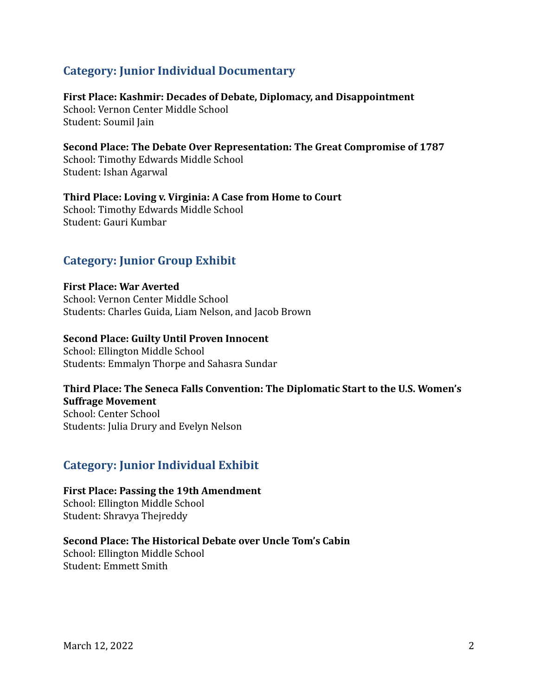## **Category: Junior Individual Documentary**

**First Place: Kashmir: Decades of Debate, Diplomacy, and Disappointment** School: Vernon Center Middle School Student: Soumil Jain

**Second Place: The Debate Over Representation: The Great Compromise of 1787** School: Timothy Edwards Middle School Student: Ishan Agarwal

**Third Place: Loving v. Virginia: A Case from Home to Court** School: Timothy Edwards Middle School Student: Gauri Kumbar

## **Category: Junior Group Exhibit**

**First Place: War Averted** School: Vernon Center Middle School Students: Charles Guida, Liam Nelson, and Jacob Brown

### **Second Place: Guilty Until Proven Innocent**

School: Ellington Middle School Students: Emmalyn Thorpe and Sahasra Sundar

## **Third Place: The Seneca Falls Convention: The Diplomatic Start to the U.S. Women's Suffrage Movement**

School: Center School Students: Julia Drury and Evelyn Nelson

## **Category: Junior Individual Exhibit**

**First Place: Passing the 19th Amendment** School: Ellington Middle School Student: Shravya Thejreddy

**Second Place: The Historical Debate over Uncle Tom's Cabin** School: Ellington Middle School Student: Emmett Smith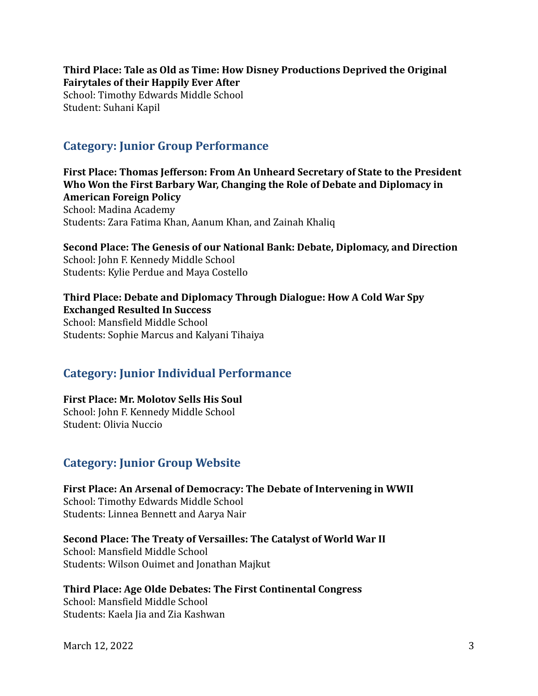**Third Place: Tale as Old as Time: How Disney Productions Deprived the Original Fairytales of their Happily Ever After** School: Timothy Edwards Middle School Student: Suhani Kapil

## **Category: Junior Group Performance**

**First Place: Thomas Jefferson: From An Unheard Secretary of State to the President Who Won the First Barbary War, Changing the Role of Debate and Diplomacy in American Foreign Policy** School: Madina Academy Students: Zara Fatima Khan, Aanum Khan, and Zainah Khaliq

**Second Place: The Genesis of our National Bank: Debate, Diplomacy, and Direction** School: John F. Kennedy Middle School Students: Kylie Perdue and Maya Costello

**Third Place: Debate and Diplomacy Through Dialogue: How A Cold War Spy Exchanged Resulted In Success** School: Mansfield Middle School Students: Sophie Marcus and Kalyani Tihaiya

## **Category: Junior Individual Performance**

**First Place: Mr. Molotov Sells His Soul** School: John F. Kennedy Middle School Student: Olivia Nuccio

## **Category: Junior Group Website**

**First Place: An Arsenal of Democracy: The Debate of Intervening in WWII** School: Timothy Edwards Middle School Students: Linnea Bennett and Aarya Nair

**Second Place: The Treaty of Versailles: The Catalyst of World War II** School: Mansfield Middle School Students: Wilson Ouimet and Jonathan Majkut

**Third Place: Age Olde Debates: The First Continental Congress** School: Mansfield Middle School Students: Kaela Jia and Zia Kashwan

March 12, 2022 3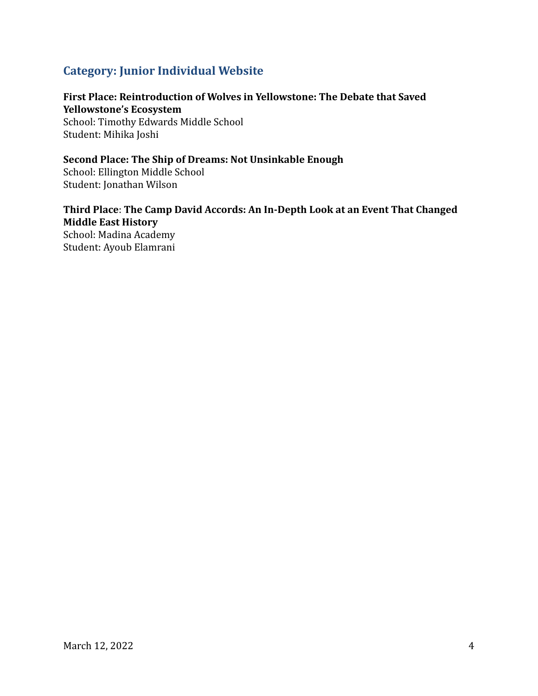## **Category: Junior Individual Website**

## **First Place: Reintroduction of Wolves in Yellowstone: The Debate that Saved Yellowstone's Ecosystem**

School: Timothy Edwards Middle School Student: Mihika Joshi

### **Second Place: The Ship of Dreams: Not Unsinkable Enough**

School: Ellington Middle School Student: Jonathan Wilson

## **Third Place**: **The Camp David Accords: An In-Depth Look at an Event That Changed Middle East History**

School: Madina Academy Student: Ayoub Elamrani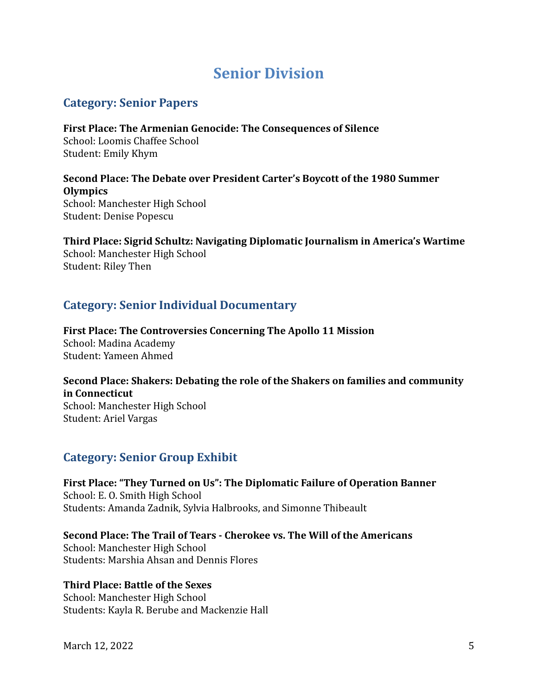## **Senior Division**

## **Category: Senior Papers**

**First Place: The Armenian Genocide: The Consequences of Silence** School: Loomis Chaffee School Student: Emily Khym

**Second Place: The Debate over President Carter's Boycott of the 1980 Summer Olympics** School: Manchester High School Student: Denise Popescu

**Third Place: Sigrid Schultz: Navigating Diplomatic Journalism in America's Wartime** School: Manchester High School Student: Riley Then

## **Category: Senior Individual Documentary**

**First Place: The Controversies Concerning The Apollo 11 Mission** School: Madina Academy Student: Yameen Ahmed

**Second Place: Shakers: Debating the role of the Shakers on families and community in Connecticut** School: Manchester High School Student: Ariel Vargas

### **Category: Senior Group Exhibit**

**First Place: "They Turned on Us": The Diplomatic Failure of Operation Banner** School: E. O. Smith High School Students: Amanda Zadnik, Sylvia Halbrooks, and Simonne Thibeault

**Second Place: The Trail of Tears - Cherokee vs. The Will of the Americans** School: Manchester High School Students: Marshia Ahsan and Dennis Flores

### **Third Place: Battle of the Sexes**

School: Manchester High School Students: Kayla R. Berube and Mackenzie Hall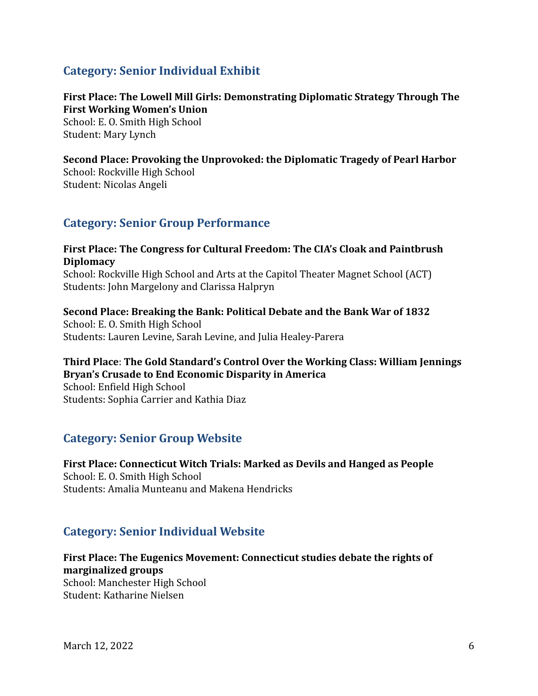## **Category: Senior Individual Exhibit**

### **First Place: The Lowell Mill Girls: Demonstrating Diplomatic Strategy Through The First Working Women's Union**

School: E. O. Smith High School Student: Mary Lynch

## **Second Place: Provoking the Unprovoked: the Diplomatic Tragedy of Pearl Harbor**

School: Rockville High School Student: Nicolas Angeli

## **Category: Senior Group Performance**

### **First Place: The Congress for Cultural Freedom: The CIA's Cloak and Paintbrush Diplomacy**

School: Rockville High School and Arts at the Capitol Theater Magnet School (ACT) Students: John Margelony and Clarissa Halpryn

**Second Place: Breaking the Bank: Political Debate and the Bank War of 1832** School: E. O. Smith High School Students: Lauren Levine, Sarah Levine, and Julia Healey-Parera

### **Third Place**: **The Gold Standard's Control Over the Working Class: William Jennings Bryan's Crusade to End Economic Disparity in America**

School: Enfield High School Students: Sophia Carrier and Kathia Diaz

## **Category: Senior Group Website**

**First Place: Connecticut Witch Trials: Marked as Devils and Hanged as People** School: E. O. Smith High School Students: Amalia Munteanu and Makena Hendricks

## **Category: Senior Individual Website**

**First Place: The Eugenics Movement: Connecticut studies debate the rights of marginalized groups** School: Manchester High School

Student: Katharine Nielsen